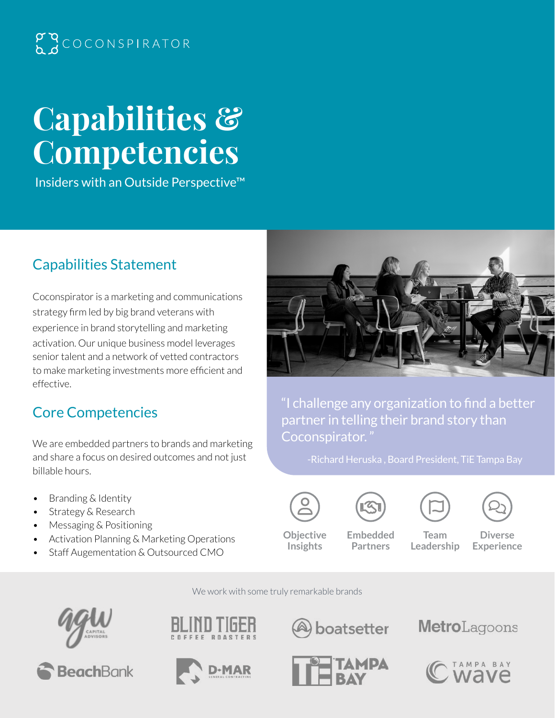## $\begin{array}{c} \mathcal{P} \setminus \mathcal{P} \subset \mathcal{P} \subset \mathcal{P} \subset \mathcal{P} \subset \mathcal{P} \subset \mathcal{P} \subset \mathcal{P} \subset \mathcal{P} \subset \mathcal{P} \subset \mathcal{P} \subset \mathcal{P} \subset \mathcal{P} \subset \mathcal{P} \subset \mathcal{P} \subset \mathcal{P} \subset \mathcal{P} \subset \mathcal{P} \subset \mathcal{P} \subset \mathcal{P} \subset \mathcal{P} \subset \mathcal{P} \subset \mathcal{P} \subset \mathcal{P} \subset \mathcal{P} \subset \mathcal{P} \subset \mathcal{$

# **Capabilities & Competencies**

Insiders with an Outside Perspective™

## Capabilities Statement

Coconspirator is a marketing and communications strategy firm led by big brand veterans with experience in brand storytelling and marketing activation. Our unique business model leverages senior talent and a network of vetted contractors to make marketing investments more efficient and effective.

### Core Competencies

We are embedded partners to brands and marketing and share a focus on desired outcomes and not just billable hours.

- Branding & Identity
- Strategy & Research
- Messaging & Positioning
- Activation Planning & Marketing Operations
- Staff Augementation & Outsourced CMO



"I challenge any organization to find a better partner in telling their brand story than Coconspirator. "



**Objective Insights**





**Embedded Partners**

**Team Leadership**

**Diverse Experience** 

We work with some truly remarkable brands











boatsetter